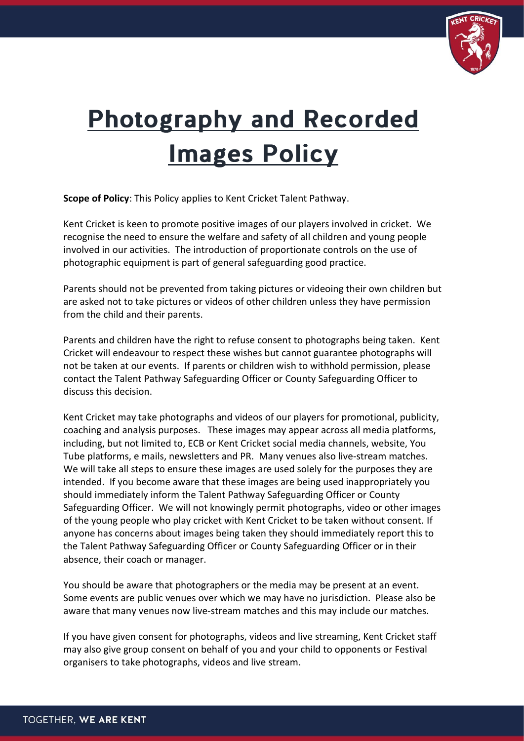

## **Photography and Recorded Images Policy**

**Scope of Policy**: This Policy applies to Kent Cricket Talent Pathway.

Kent Cricket is keen to promote positive images of our players involved in cricket. We recognise the need to ensure the welfare and safety of all children and young people involved in our activities. The introduction of proportionate controls on the use of photographic equipment is part of general safeguarding good practice.

Parents should not be prevented from taking pictures or videoing their own children but are asked not to take pictures or videos of other children unless they have permission from the child and their parents.

Parents and children have the right to refuse consent to photographs being taken. Kent Cricket will endeavour to respect these wishes but cannot guarantee photographs will not be taken at our events. If parents or children wish to withhold permission, please contact the Talent Pathway Safeguarding Officer or County Safeguarding Officer to discuss this decision.

Kent Cricket may take photographs and videos of our players for promotional, publicity, coaching and analysis purposes. These images may appear across all media platforms, including, but not limited to, ECB or Kent Cricket social media channels, website, You Tube platforms, e mails, newsletters and PR. Many venues also live-stream matches. We will take all steps to ensure these images are used solely for the purposes they are intended. If you become aware that these images are being used inappropriately you should immediately inform the Talent Pathway Safeguarding Officer or County Safeguarding Officer. We will not knowingly permit photographs, video or other images of the young people who play cricket with Kent Cricket to be taken without consent. If anyone has concerns about images being taken they should immediately report this to the Talent Pathway Safeguarding Officer or County Safeguarding Officer or in their absence, their coach or manager.

You should be aware that photographers or the media may be present at an event. Some events are public venues over which we may have no jurisdiction. Please also be aware that many venues now live-stream matches and this may include our matches.

If you have given consent for photographs, videos and live streaming, Kent Cricket staff may also give group consent on behalf of you and your child to opponents or Festival organisers to take photographs, videos and live stream.